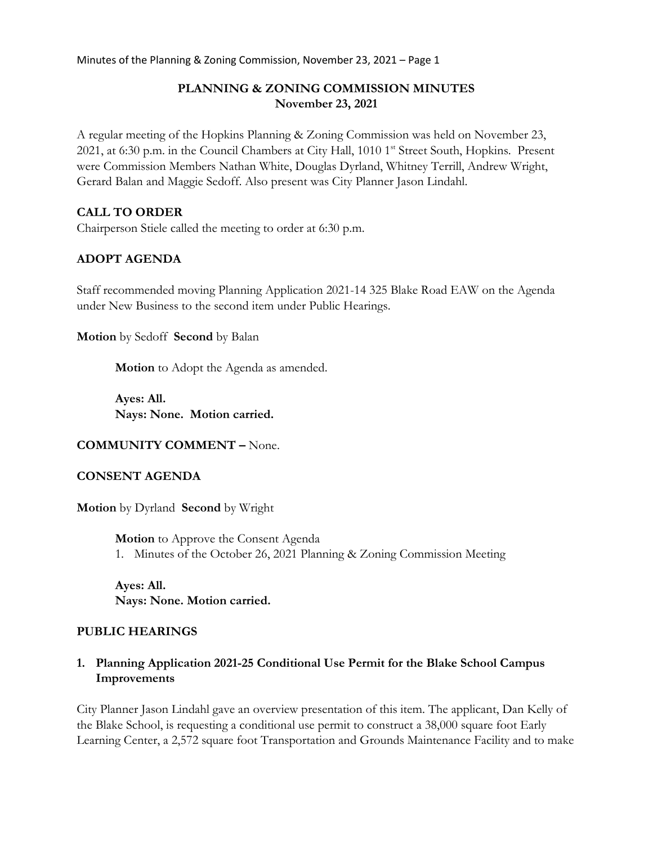### **PLANNING & ZONING COMMISSION MINUTES November 23, 2021**

A regular meeting of the Hopkins Planning & Zoning Commission was held on November 23, 2021, at 6:30 p.m. in the Council Chambers at City Hall, 1010 1st Street South, Hopkins. Present were Commission Members Nathan White, Douglas Dyrland, Whitney Terrill, Andrew Wright, Gerard Balan and Maggie Sedoff. Also present was City Planner Jason Lindahl.

### **CALL TO ORDER**

Chairperson Stiele called the meeting to order at 6:30 p.m.

## **ADOPT AGENDA**

Staff recommended moving Planning Application 2021-14 325 Blake Road EAW on the Agenda under New Business to the second item under Public Hearings.

**Motion** by Sedoff **Second** by Balan

**Motion** to Adopt the Agenda as amended.

**Ayes: All. Nays: None. Motion carried.**

#### **COMMUNITY COMMENT –** None.

#### **CONSENT AGENDA**

**Motion** by Dyrland **Second** by Wright

**Motion** to Approve the Consent Agenda 1. Minutes of the October 26, 2021 Planning & Zoning Commission Meeting

**Ayes: All. Nays: None. Motion carried.**

#### **PUBLIC HEARINGS**

## **1. Planning Application 2021-25 Conditional Use Permit for the Blake School Campus Improvements**

City Planner Jason Lindahl gave an overview presentation of this item. The applicant, Dan Kelly of the Blake School, is requesting a conditional use permit to construct a 38,000 square foot Early Learning Center, a 2,572 square foot Transportation and Grounds Maintenance Facility and to make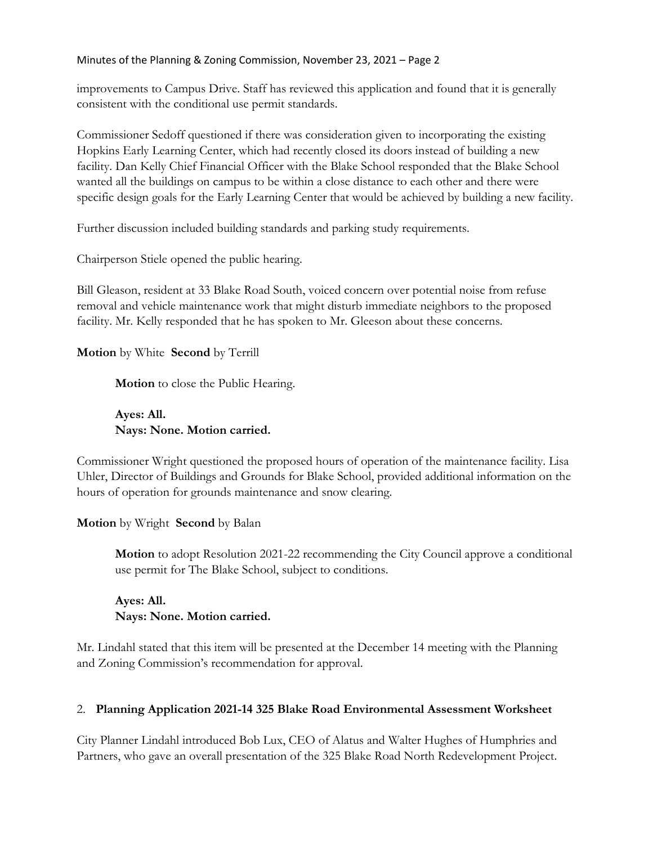improvements to Campus Drive. Staff has reviewed this application and found that it is generally consistent with the conditional use permit standards.

Commissioner Sedoff questioned if there was consideration given to incorporating the existing Hopkins Early Learning Center, which had recently closed its doors instead of building a new facility. Dan Kelly Chief Financial Officer with the Blake School responded that the Blake School wanted all the buildings on campus to be within a close distance to each other and there were specific design goals for the Early Learning Center that would be achieved by building a new facility.

Further discussion included building standards and parking study requirements.

Chairperson Stiele opened the public hearing.

Bill Gleason, resident at 33 Blake Road South, voiced concern over potential noise from refuse removal and vehicle maintenance work that might disturb immediate neighbors to the proposed facility. Mr. Kelly responded that he has spoken to Mr. Gleeson about these concerns.

**Motion** by White **Second** by Terrill

**Motion** to close the Public Hearing.

**Ayes: All. Nays: None. Motion carried.**

Commissioner Wright questioned the proposed hours of operation of the maintenance facility. Lisa Uhler, Director of Buildings and Grounds for Blake School, provided additional information on the hours of operation for grounds maintenance and snow clearing.

**Motion** by Wright **Second** by Balan

**Motion** to adopt Resolution 2021-22 recommending the City Council approve a conditional use permit for The Blake School, subject to conditions.

**Ayes: All. Nays: None. Motion carried.**

Mr. Lindahl stated that this item will be presented at the December 14 meeting with the Planning and Zoning Commission's recommendation for approval.

## 2. **Planning Application 2021-14 325 Blake Road Environmental Assessment Worksheet**

City Planner Lindahl introduced Bob Lux, CEO of Alatus and Walter Hughes of Humphries and Partners, who gave an overall presentation of the 325 Blake Road North Redevelopment Project.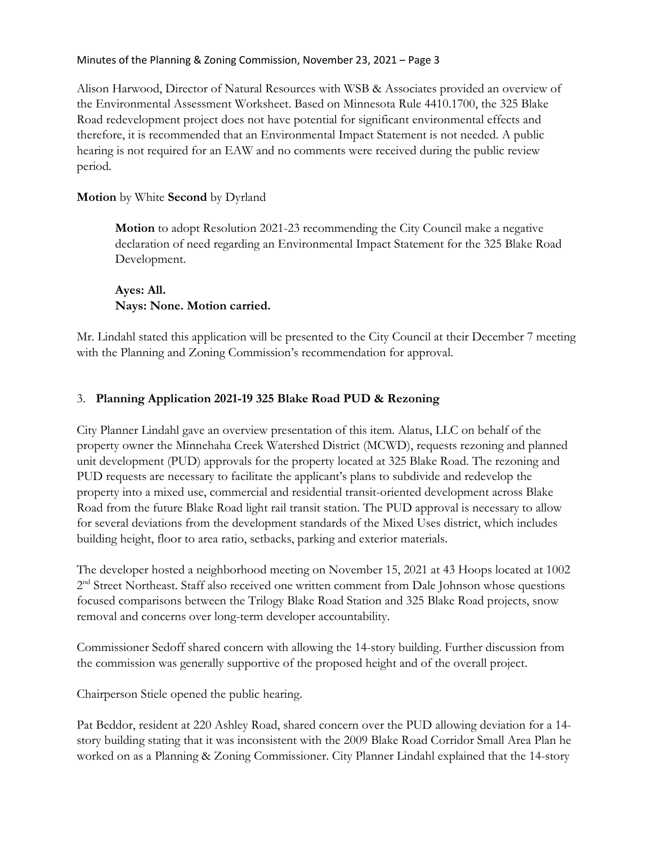Alison Harwood, Director of Natural Resources with WSB & Associates provided an overview of the Environmental Assessment Worksheet. Based on Minnesota Rule 4410.1700, the 325 Blake Road redevelopment project does not have potential for significant environmental effects and therefore, it is recommended that an Environmental Impact Statement is not needed. A public hearing is not required for an EAW and no comments were received during the public review period.

### **Motion** by White **Second** by Dyrland

**Motion** to adopt Resolution 2021-23 recommending the City Council make a negative declaration of need regarding an Environmental Impact Statement for the 325 Blake Road Development.

**Ayes: All. Nays: None. Motion carried.**

Mr. Lindahl stated this application will be presented to the City Council at their December 7 meeting with the Planning and Zoning Commission's recommendation for approval.

### 3. **Planning Application 2021-19 325 Blake Road PUD & Rezoning**

City Planner Lindahl gave an overview presentation of this item. Alatus, LLC on behalf of the property owner the Minnehaha Creek Watershed District (MCWD), requests rezoning and planned unit development (PUD) approvals for the property located at 325 Blake Road. The rezoning and PUD requests are necessary to facilitate the applicant's plans to subdivide and redevelop the property into a mixed use, commercial and residential transit-oriented development across Blake Road from the future Blake Road light rail transit station. The PUD approval is necessary to allow for several deviations from the development standards of the Mixed Uses district, which includes building height, floor to area ratio, setbacks, parking and exterior materials.

The developer hosted a neighborhood meeting on November 15, 2021 at 43 Hoops located at 1002 2<sup>nd</sup> Street Northeast. Staff also received one written comment from Dale Johnson whose questions focused comparisons between the Trilogy Blake Road Station and 325 Blake Road projects, snow removal and concerns over long-term developer accountability.

Commissioner Sedoff shared concern with allowing the 14-story building. Further discussion from the commission was generally supportive of the proposed height and of the overall project.

Chairperson Stiele opened the public hearing.

Pat Beddor, resident at 220 Ashley Road, shared concern over the PUD allowing deviation for a 14 story building stating that it was inconsistent with the 2009 Blake Road Corridor Small Area Plan he worked on as a Planning & Zoning Commissioner. City Planner Lindahl explained that the 14-story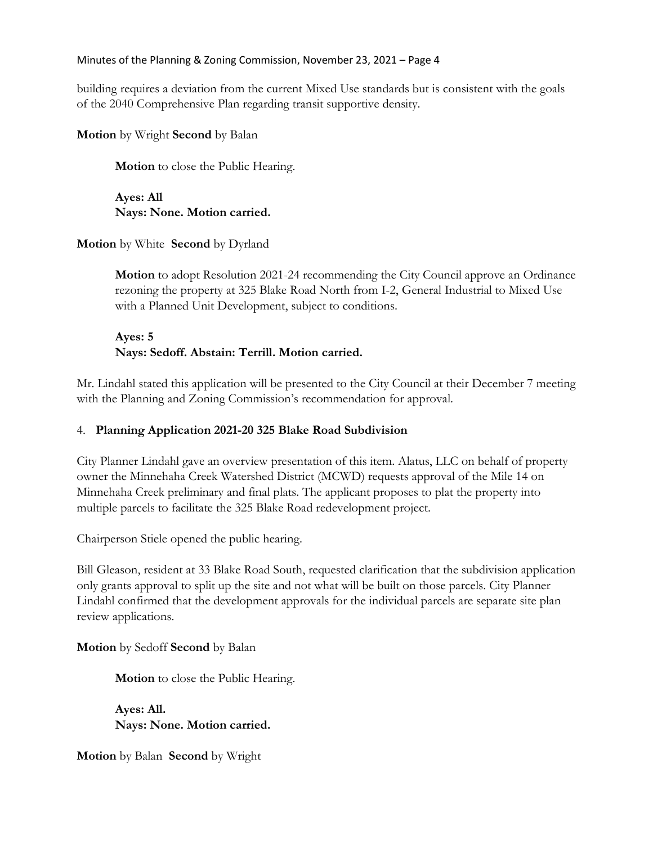building requires a deviation from the current Mixed Use standards but is consistent with the goals of the 2040 Comprehensive Plan regarding transit supportive density.

**Motion** by Wright **Second** by Balan

**Motion** to close the Public Hearing.

**Ayes: All Nays: None. Motion carried.**

**Motion** by White **Second** by Dyrland

**Motion** to adopt Resolution 2021-24 recommending the City Council approve an Ordinance rezoning the property at 325 Blake Road North from I-2, General Industrial to Mixed Use with a Planned Unit Development, subject to conditions.

**Ayes: 5 Nays: Sedoff. Abstain: Terrill. Motion carried.**

Mr. Lindahl stated this application will be presented to the City Council at their December 7 meeting with the Planning and Zoning Commission's recommendation for approval.

## 4. **Planning Application 2021-20 325 Blake Road Subdivision**

City Planner Lindahl gave an overview presentation of this item. Alatus, LLC on behalf of property owner the Minnehaha Creek Watershed District (MCWD) requests approval of the Mile 14 on Minnehaha Creek preliminary and final plats. The applicant proposes to plat the property into multiple parcels to facilitate the 325 Blake Road redevelopment project.

Chairperson Stiele opened the public hearing.

Bill Gleason, resident at 33 Blake Road South, requested clarification that the subdivision application only grants approval to split up the site and not what will be built on those parcels. City Planner Lindahl confirmed that the development approvals for the individual parcels are separate site plan review applications.

**Motion** by Sedoff **Second** by Balan

**Motion** to close the Public Hearing.

**Ayes: All. Nays: None. Motion carried.**

**Motion** by Balan **Second** by Wright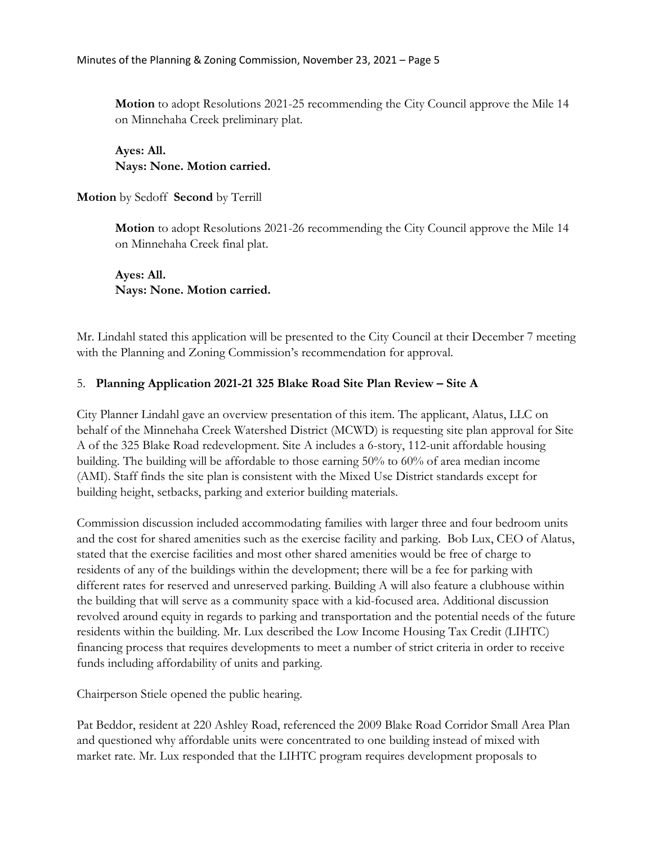**Motion** to adopt Resolutions 2021-25 recommending the City Council approve the Mile 14 on Minnehaha Creek preliminary plat.

**Ayes: All. Nays: None. Motion carried.**

**Motion** by Sedoff **Second** by Terrill

**Motion** to adopt Resolutions 2021-26 recommending the City Council approve the Mile 14 on Minnehaha Creek final plat.

**Ayes: All. Nays: None. Motion carried.**

Mr. Lindahl stated this application will be presented to the City Council at their December 7 meeting with the Planning and Zoning Commission's recommendation for approval.

#### 5. **Planning Application 2021-21 325 Blake Road Site Plan Review – Site A**

City Planner Lindahl gave an overview presentation of this item. The applicant, Alatus, LLC on behalf of the Minnehaha Creek Watershed District (MCWD) is requesting site plan approval for Site A of the 325 Blake Road redevelopment. Site A includes a 6-story, 112-unit affordable housing building. The building will be affordable to those earning 50% to 60% of area median income (AMI). Staff finds the site plan is consistent with the Mixed Use District standards except for building height, setbacks, parking and exterior building materials.

Commission discussion included accommodating families with larger three and four bedroom units and the cost for shared amenities such as the exercise facility and parking. Bob Lux, CEO of Alatus, stated that the exercise facilities and most other shared amenities would be free of charge to residents of any of the buildings within the development; there will be a fee for parking with different rates for reserved and unreserved parking. Building A will also feature a clubhouse within the building that will serve as a community space with a kid-focused area. Additional discussion revolved around equity in regards to parking and transportation and the potential needs of the future residents within the building. Mr. Lux described the Low Income Housing Tax Credit (LIHTC) financing process that requires developments to meet a number of strict criteria in order to receive funds including affordability of units and parking.

Chairperson Stiele opened the public hearing.

Pat Beddor, resident at 220 Ashley Road, referenced the 2009 Blake Road Corridor Small Area Plan and questioned why affordable units were concentrated to one building instead of mixed with market rate. Mr. Lux responded that the LIHTC program requires development proposals to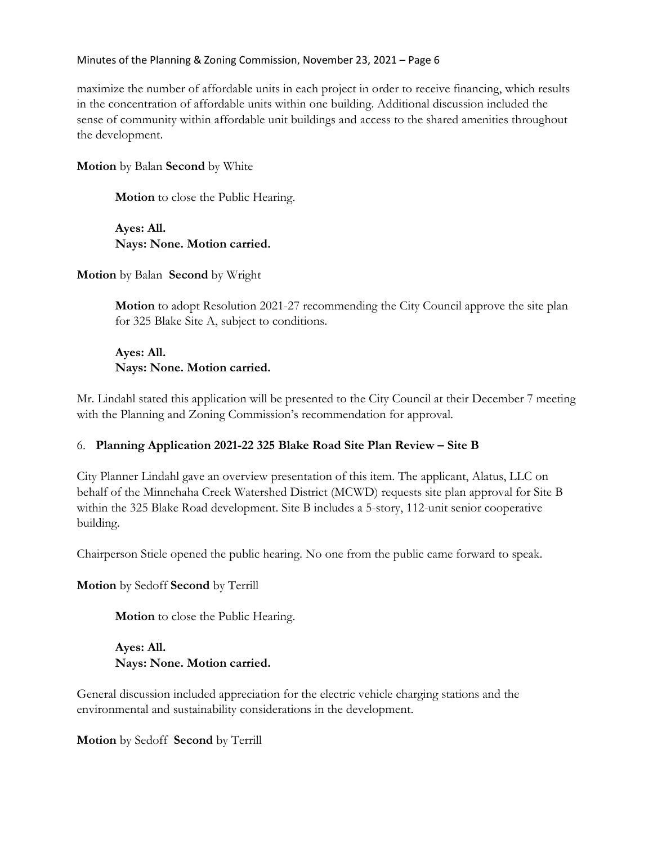maximize the number of affordable units in each project in order to receive financing, which results in the concentration of affordable units within one building. Additional discussion included the sense of community within affordable unit buildings and access to the shared amenities throughout the development.

### **Motion** by Balan **Second** by White

**Motion** to close the Public Hearing.

**Ayes: All. Nays: None. Motion carried.**

### **Motion** by Balan **Second** by Wright

**Motion** to adopt Resolution 2021-27 recommending the City Council approve the site plan for 325 Blake Site A, subject to conditions.

# **Ayes: All. Nays: None. Motion carried.**

Mr. Lindahl stated this application will be presented to the City Council at their December 7 meeting with the Planning and Zoning Commission's recommendation for approval.

## 6. **Planning Application 2021-22 325 Blake Road Site Plan Review – Site B**

City Planner Lindahl gave an overview presentation of this item. The applicant, Alatus, LLC on behalf of the Minnehaha Creek Watershed District (MCWD) requests site plan approval for Site B within the 325 Blake Road development. Site B includes a 5-story, 112-unit senior cooperative building.

Chairperson Stiele opened the public hearing. No one from the public came forward to speak.

**Motion** by Sedoff **Second** by Terrill

**Motion** to close the Public Hearing.

**Ayes: All. Nays: None. Motion carried.**

General discussion included appreciation for the electric vehicle charging stations and the environmental and sustainability considerations in the development.

**Motion** by Sedoff **Second** by Terrill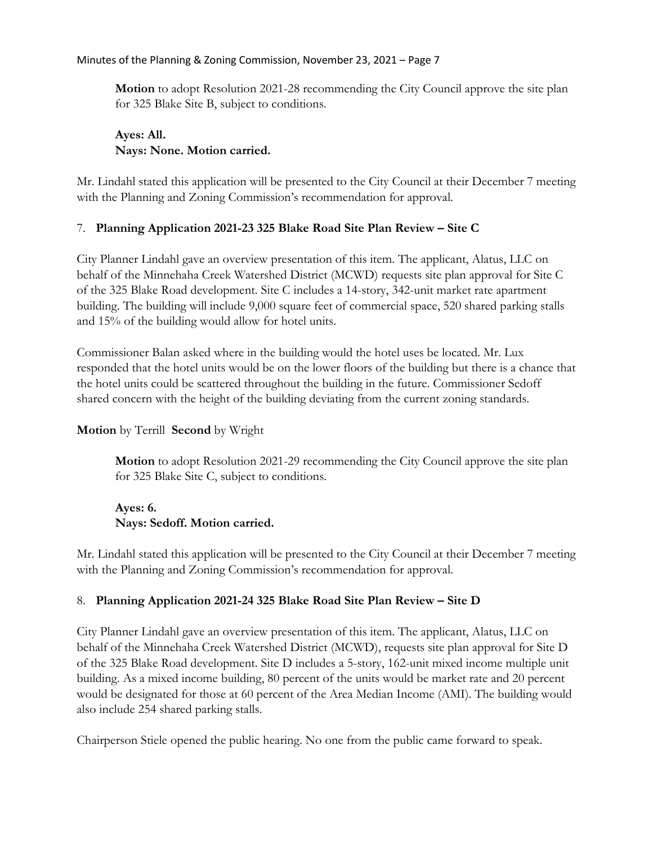**Motion** to adopt Resolution 2021-28 recommending the City Council approve the site plan for 325 Blake Site B, subject to conditions.

## **Ayes: All. Nays: None. Motion carried.**

Mr. Lindahl stated this application will be presented to the City Council at their December 7 meeting with the Planning and Zoning Commission's recommendation for approval.

## 7. **Planning Application 2021-23 325 Blake Road Site Plan Review – Site C**

City Planner Lindahl gave an overview presentation of this item. The applicant, Alatus, LLC on behalf of the Minnehaha Creek Watershed District (MCWD) requests site plan approval for Site C of the 325 Blake Road development. Site C includes a 14-story, 342-unit market rate apartment building. The building will include 9,000 square feet of commercial space, 520 shared parking stalls and 15% of the building would allow for hotel units.

Commissioner Balan asked where in the building would the hotel uses be located. Mr. Lux responded that the hotel units would be on the lower floors of the building but there is a chance that the hotel units could be scattered throughout the building in the future. Commissioner Sedoff shared concern with the height of the building deviating from the current zoning standards.

## **Motion** by Terrill **Second** by Wright

**Motion** to adopt Resolution 2021-29 recommending the City Council approve the site plan for 325 Blake Site C, subject to conditions.

# **Ayes: 6. Nays: Sedoff. Motion carried.**

Mr. Lindahl stated this application will be presented to the City Council at their December 7 meeting with the Planning and Zoning Commission's recommendation for approval.

## 8. **Planning Application 2021-24 325 Blake Road Site Plan Review – Site D**

City Planner Lindahl gave an overview presentation of this item. The applicant, Alatus, LLC on behalf of the Minnehaha Creek Watershed District (MCWD), requests site plan approval for Site D of the 325 Blake Road development. Site D includes a 5-story, 162-unit mixed income multiple unit building. As a mixed income building, 80 percent of the units would be market rate and 20 percent would be designated for those at 60 percent of the Area Median Income (AMI). The building would also include 254 shared parking stalls.

Chairperson Stiele opened the public hearing. No one from the public came forward to speak.